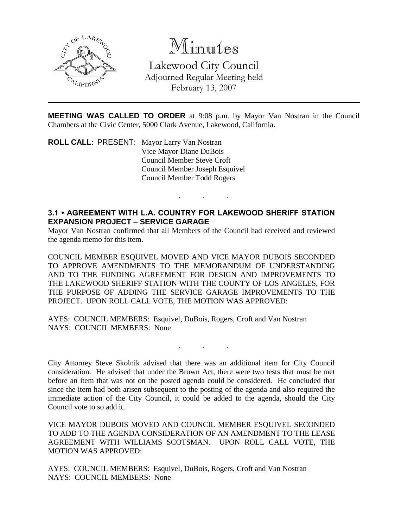

## Minutes

Lakewood City Council Adjourned Regular Meeting held February 13, 2007

**MEETING WAS CALLED TO ORDER** at 9:08 p.m. by Mayor Van Nostran in the Council Chambers at the Civic Center, 5000 Clark Avenue, Lakewood, California.

. . .

**ROLL CALL**: PRESENT: Mayor Larry Van Nostran Vice Mayor Diane DuBois Council Member Steve Croft Council Member Joseph Esquivel Council Member Todd Rogers

## **3.1 • AGREEMENT WITH L.A. COUNTRY FOR LAKEWOOD SHERIFF STATION EXPANSION PROJECT – SERVICE GARAGE**

Mayor Van Nostran confirmed that all Members of the Council had received and reviewed the agenda memo for this item.

COUNCIL MEMBER ESQUIVEL MOVED AND VICE MAYOR DUBOIS SECONDED TO APPROVE AMENDMENTS TO THE MEMORANDUM OF UNDERSTANDING AND TO THE FUNDING AGREEMENT FOR DESIGN AND IMPROVEMENTS TO THE LAKEWOOD SHERIFF STATION WITH THE COUNTY OF LOS ANGELES, FOR THE PURPOSE OF ADDING THE SERVICE GARAGE IMPROVEMENTS TO THE PROJECT. UPON ROLL CALL VOTE, THE MOTION WAS APPROVED:

AYES: COUNCIL MEMBERS: Esquivel, DuBois, Rogers, Croft and Van Nostran NAYS: COUNCIL MEMBERS: None

City Attorney Steve Skolnik advised that there was an additional item for City Council consideration. He advised that under the Brown Act, there were two tests that must be met before an item that was not on the posted agenda could be considered. He concluded that since the item had both arisen subsequent to the posting of the agenda and also required the immediate action of the City Council, it could be added to the agenda, should the City Council vote to so add it.

. . .

VICE MAYOR DUBOIS MOVED AND COUNCIL MEMBER ESQUIVEL SECONDED TO ADD TO THE AGENDA CONSIDERATION OF AN AMENDMENT TO THE LEASE AGREEMENT WITH WILLIAMS SCOTSMAN. UPON ROLL CALL VOTE, THE MOTION WAS APPROVED:

AYES: COUNCIL MEMBERS: Esquivel, DuBois, Rogers, Croft and Van Nostran NAYS: COUNCIL MEMBERS: None